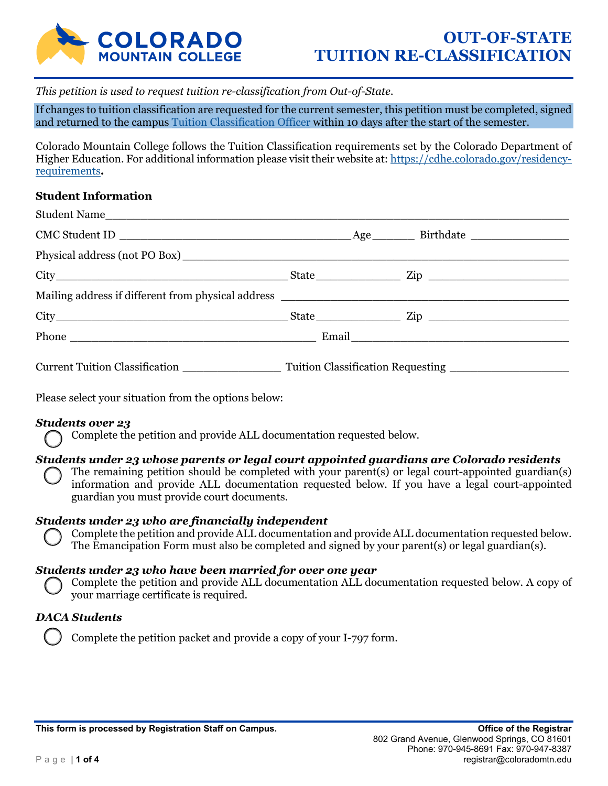

*This petition is used to request tuition re-classification from Out-of-State.* 

If changes to tuition classification are requested for the current semester, this petition must be completed, signed and returned to the campus Tuition Classification Officer within 10 days after the start of the semester.

Colorado Mountain College follows the Tuition Classification requirements set by the Colorado Department of Higher Education. For additional information please visit their website at: https://cdhe.colorado.gov/residencyrequirements*.* 

### **Student Information**

| <b>Current Tuition Classification</b> | <b>Tuition Classification Requesting</b> |  |
|---------------------------------------|------------------------------------------|--|

Please select your situation from the options below:

## *Students over 23*

Complete the petition and provide ALL documentation requested below.

## *Students under 23 whose parents or legal court appointed guardians are Colorado residents*

The remaining petition should be completed with your parent(s) or legal court-appointed guardian(s) information and provide ALL documentation requested below. If you have a legal court-appointed guardian you must provide court documents.

#### *Students under 23 who are financially independent*

Complete the petition and provide ALL documentation and provide ALL documentation requested below. The Emancipation Form must also be completed and signed by your parent(s) or legal guardian(s).

#### *Students under 23 who have been married for over one year*

Complete the petition and provide ALL documentation ALL documentation requested below. A copy of your marriage certificate is required.

#### *DACA Students*

Complete the petition packet and provide a copy of your I-797 form.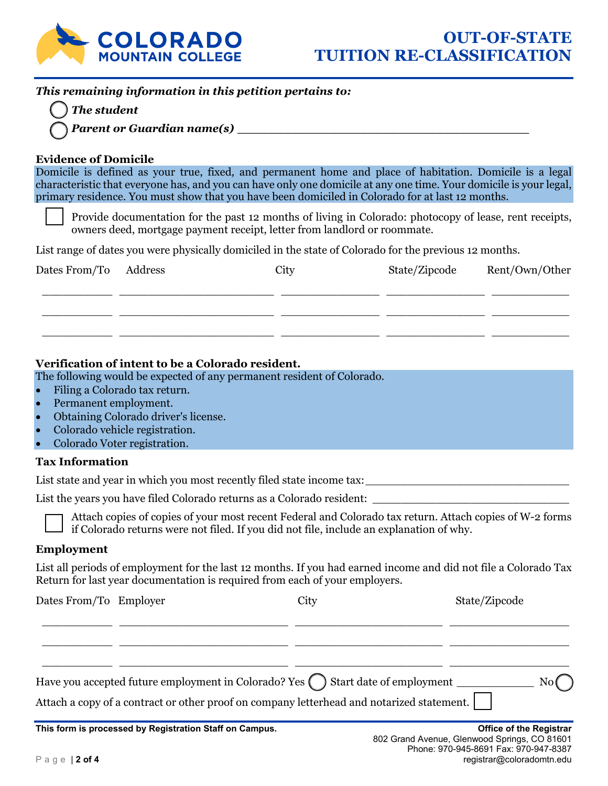

# *This remaining information in this petition pertains to:*

 *The student* 

 *Parent or Guardian name(s) \_\_\_\_\_\_\_\_\_\_\_\_\_\_\_\_\_\_\_\_\_\_\_\_\_\_\_\_\_\_\_\_\_\_\_\_\_\_* 

### **Evidence of Domicile**

Domicile is defined as your true, fixed, and permanent home and place of habitation. Domicile is a legal characteristic that everyone has, and you can have only one domicile at any one time. Your domicile is your legal, primary residence. You must show that you have been domiciled in Colorado for at last 12 months.

Provide documentation for the past 12 months of living in Colorado: photocopy of lease, rent receipts, owners deed, mortgage payment receipt, letter from landlord or roommate.

List range of dates you were physically domiciled in the state of Colorado for the previous 12 months.

| Dates From/To | Address | City | State/Zipcode | Rent/Own/Other |
|---------------|---------|------|---------------|----------------|
|               |         |      |               |                |
|               |         |      |               |                |

## **Verification of intent to be a Colorado resident.**

The following would be expected of any permanent resident of Colorado.

- Filing a Colorado tax return.
- Permanent employment.
- Obtaining Colorado driver's license.
- Colorado vehicle registration.
- Colorado Voter registration.

## **Tax Information**

List state and year in which you most recently filed state income tax: \_\_\_\_\_\_\_\_\_\_\_\_\_\_\_\_\_\_\_\_\_\_\_\_\_\_\_\_\_

List the years you have filed Colorado returns as a Colorado resident: \_\_\_\_\_\_\_\_\_

Attach copies of copies of your most recent Federal and Colorado tax return. Attach copies of W-2 forms if Colorado returns were not filed. If you did not file, include an explanation of why.

## **Employment**

List all periods of employment for the last 12 months. If you had earned income and did not file a Colorado Tax Return for last year documentation is required from each of your employers.

|                        | This fame is presenced by Deplotration Cloff on Computer                                                                                                                                    |      | Office of the Designation |
|------------------------|---------------------------------------------------------------------------------------------------------------------------------------------------------------------------------------------|------|---------------------------|
|                        | Have you accepted future employment in Colorado? Yes $\bigcap$ Start date of employment $\_\_$<br>Attach a copy of a contract or other proof on company letterhead and notarized statement. |      |                           |
|                        |                                                                                                                                                                                             |      |                           |
| Dates From/To Employer |                                                                                                                                                                                             | City | State/Zipcode             |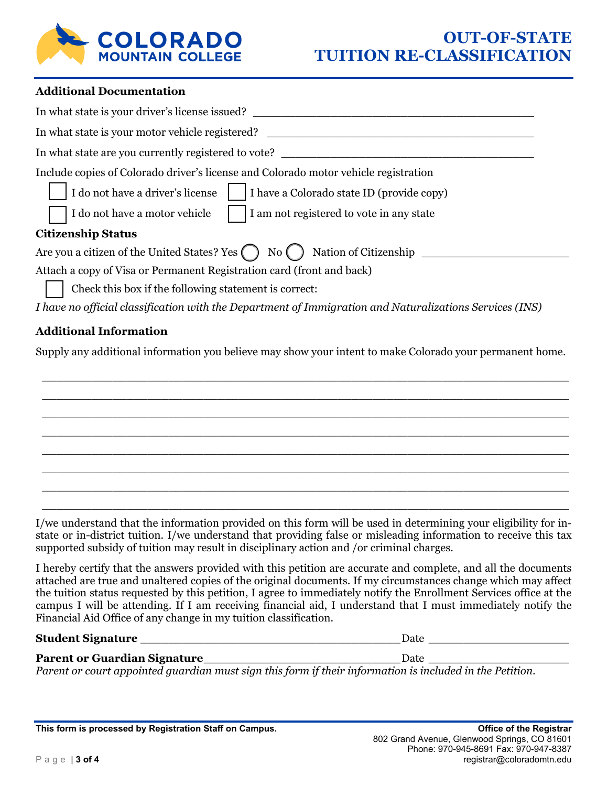

#### **Additional Documentation**

| In what state is your driver's license issued?                                                          |
|---------------------------------------------------------------------------------------------------------|
| In what state is your motor vehicle registered?                                                         |
| In what state are you currently registered to vote?                                                     |
| Include copies of Colorado driver's license and Colorado motor vehicle registration                     |
| I do not have a driver's license<br>I have a Colorado state ID (provide copy)                           |
| I do not have a motor vehicle<br>I am not registered to vote in any state                               |
| <b>Citizenship Status</b>                                                                               |
| Are you a citizen of the United States? Yes $\bigcap$ No $\bigcap$<br>Nation of Citizenship             |
| Attach a copy of Visa or Permanent Registration card (front and back)                                   |
| Check this box if the following statement is correct:                                                   |
| I have no official classification with the Department of Immigration and Naturalizations Services (INS) |

### **Additional Information**

Supply any additional information you believe may show your intent to make Colorado your permanent home.

 \_\_\_\_\_\_\_\_\_\_\_\_\_\_\_\_\_\_\_\_\_\_\_\_\_\_\_\_\_\_\_\_\_\_\_\_\_\_\_\_\_\_\_\_\_\_\_\_\_\_\_\_\_\_\_\_\_\_\_\_\_\_\_\_\_\_\_\_\_\_\_\_\_\_\_ \_\_\_\_\_\_\_\_\_\_\_\_\_\_\_\_\_\_\_\_\_\_\_\_\_\_\_\_\_\_\_\_\_\_\_\_\_\_\_\_\_\_\_\_\_\_\_\_\_\_\_\_\_\_\_\_\_\_\_\_\_\_\_\_\_\_\_\_\_\_\_\_\_\_\_ \_\_\_\_\_\_\_\_\_\_\_\_\_\_\_\_\_\_\_\_\_\_\_\_\_\_\_\_\_\_\_\_\_\_\_\_\_\_\_\_\_\_\_\_\_\_\_\_\_\_\_\_\_\_\_\_\_\_\_\_\_\_\_\_\_\_\_\_\_\_\_\_\_\_\_ \_\_\_\_\_\_\_\_\_\_\_\_\_\_\_\_\_\_\_\_\_\_\_\_\_\_\_\_\_\_\_\_\_\_\_\_\_\_\_\_\_\_\_\_\_\_\_\_\_\_\_\_\_\_\_\_\_\_\_\_\_\_\_\_\_\_\_\_\_\_\_\_\_\_\_ \_\_\_\_\_\_\_\_\_\_\_\_\_\_\_\_\_\_\_\_\_\_\_\_\_\_\_\_\_\_\_\_\_\_\_\_\_\_\_\_\_\_\_\_\_\_\_\_\_\_\_\_\_\_\_\_\_\_\_\_\_\_\_\_\_\_\_\_\_\_\_\_\_\_\_ \_\_\_\_\_\_\_\_\_\_\_\_\_\_\_\_\_\_\_\_\_\_\_\_\_\_\_\_\_\_\_\_\_\_\_\_\_\_\_\_\_\_\_\_\_\_\_\_\_\_\_\_\_\_\_\_\_\_\_\_\_\_\_\_\_\_\_\_\_\_\_\_\_\_\_ \_\_\_\_\_\_\_\_\_\_\_\_\_\_\_\_\_\_\_\_\_\_\_\_\_\_\_\_\_\_\_\_\_\_\_\_\_\_\_\_\_\_\_\_\_\_\_\_\_\_\_\_\_\_\_\_\_\_\_\_\_\_\_\_\_\_\_\_\_\_\_\_\_\_\_ \_\_\_\_\_\_\_\_\_\_\_\_\_\_\_\_\_\_\_\_\_\_\_\_\_\_\_\_\_\_\_\_\_\_\_\_\_\_\_\_\_\_\_\_\_\_\_\_\_\_\_\_\_\_\_\_\_\_\_\_\_\_\_\_\_\_\_\_\_\_\_\_\_\_\_

I/we understand that the information provided on this form will be used in determining your eligibility for instate or in-district tuition. I/we understand that providing false or misleading information to receive this tax supported subsidy of tuition may result in disciplinary action and /or criminal charges.

I hereby certify that the answers provided with this petition are accurate and complete, and all the documents attached are true and unaltered copies of the original documents. If my circumstances change which may affect the tuition status requested by this petition, I agree to immediately notify the Enrollment Services office at the campus I will be attending. If I am receiving financial aid, I understand that I must immediately notify the Financial Aid Office of any change in my tuition classification.

#### **Student Signature** \_\_\_\_\_\_\_\_\_\_\_\_\_\_\_\_\_\_\_\_\_\_\_\_\_\_\_\_\_\_\_\_\_\_\_\_\_ Date \_\_\_\_\_\_\_\_\_\_\_\_\_\_\_\_\_\_\_\_

# **Parent or Guardian Signature\_\_\_\_\_\_\_\_\_\_\_\_\_\_\_\_\_\_\_\_\_\_\_\_\_\_\_\_\_\_\_\_\_\_\_Date \_\_\_\_\_\_\_\_\_\_\_\_\_\_\_\_\_\_\_\_\_\_\_\_\_\_\_\_\_\_\_**

*Parent or court appointed guardian must sign this form if their information is included in the Petition.*